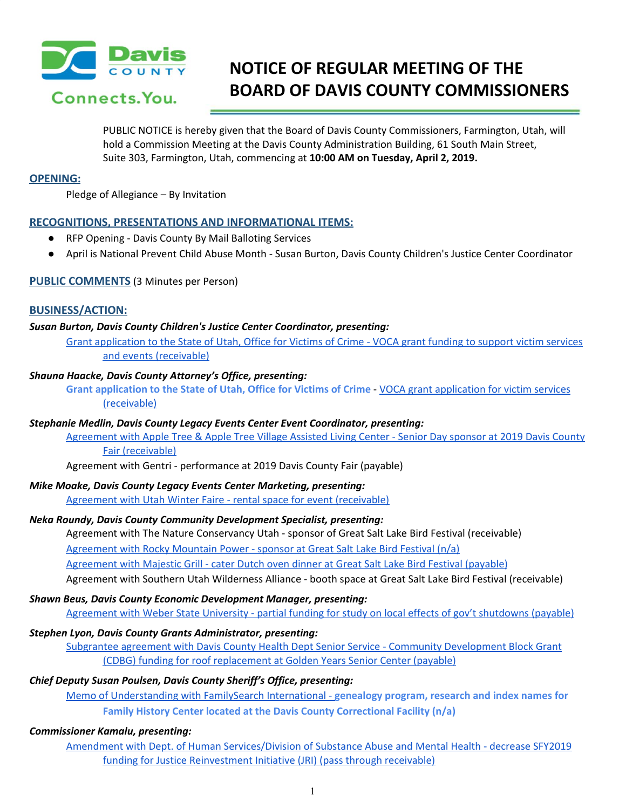

# **NOTICE OF REGULAR MEETING OF THE BOARD OF DAVIS COUNTY COMMISSIONERS**

PUBLIC NOTICE is hereby given that the Board of Davis County Commissioners, Farmington, Utah, will hold a Commission Meeting at the Davis County Administration Building, 61 South Main Street, Suite 303, Farmington, Utah, commencing at **10:00 AM on Tuesday, April 2, 2019.**

## **OPENING:**

Pledge of Allegiance – By Invitation

## **RECOGNITIONS, PRESENTATIONS AND INFORMATIONAL ITEMS:**

- RFP Opening Davis County By Mail Balloting Services
- April is National Prevent Child Abuse Month Susan Burton, Davis County Children's Justice Center Coordinator

## **PUBLIC COMMENTS** (3 Minutes per Person)

## **BUSINESS/ACTION:**

## *Susan Burton, Davis County Children's Justice Center Coordinator, presenting:*

Grant [application](https://drive.google.com/a/co.davis.ut.us/file/d/14JQ_XiqkMEesUgR-qrw0627oiyKqdXmM/view?usp=drivesdk) to the State of Utah, Office for Victims of Crime - VOCA grant funding to support victim services and events [\(receivable\)](https://drive.google.com/a/co.davis.ut.us/file/d/14JQ_XiqkMEesUgR-qrw0627oiyKqdXmM/view?usp=drivesdk)

### *Shauna Haacke, Davis County Attorney's Office, presenting:*

**Grant application to the State of Utah, Office for Victims of Crime** - VOCA grant [application](https://drive.google.com/open?id=1vQhHi-DXfNYxCUaoJzFHIbeyaJ_5KWeI) for victim services [\(receivable\)](https://drive.google.com/open?id=1vQhHi-DXfNYxCUaoJzFHIbeyaJ_5KWeI)

#### *Stephanie Medlin, Davis County Legacy Events Center Event Coordinator, presenting:*

[Agreement](https://drive.google.com/a/co.davis.ut.us/file/d/1ZKQKm-tAVIpuKX1JXg1ODiA0daLzQsDR/view?usp=drivesdk) with Apple Tree & Apple Tree Village Assisted Living Center - Senior Day sponsor at 2019 Davis County Fair [\(receivable\)](https://drive.google.com/a/co.davis.ut.us/file/d/1ZKQKm-tAVIpuKX1JXg1ODiA0daLzQsDR/view?usp=drivesdk)

Agreement with Gentri - performance at 2019 Davis County Fair (payable)

#### *Mike Moake, Davis County Legacy Events Center Marketing, presenting:*

Agreement with Utah Winter Faire - rental space for event [\(receivable\)](https://drive.google.com/a/co.davis.ut.us/file/d/10YnzregeyNvbZ2xYHRurOw4md3Z7aeia/view?usp=drivesdk)

#### *Neka Roundy, Davis County Community Development Specialist, presenting:*

Agreement with The Nature Conservancy Utah - sponsor of Great Salt Lake Bird Festival (receivable)

[Agreement](https://drive.google.com/a/co.davis.ut.us/file/d/1kzkXm9U90hyl2lqOWre33-IyvQraRJo5/view?usp=drivesdk) with Rocky Mountain Power - sponsor at Great Salt Lake Bird Festival (n/a)

[Agreement](https://drive.google.com/a/co.davis.ut.us/file/d/1f-2K5_MdSHdzBtZA6DNao98h2UDvfLbw/view?usp=drivesdk) with Majestic Grill - cater Dutch oven dinner at Great Salt Lake Bird Festival (payable)

Agreement with Southern Utah Wilderness Alliance - booth space at Great Salt Lake Bird Festival (receivable)

#### *Shawn Beus, Davis County Economic Development Manager, presenting:*

[Agreement](https://drive.google.com/a/co.davis.ut.us/file/d/1cftD9Bmk5SX3rHNYgtWFo3TIqfT4fYWP/view?usp=drivesdk) with Weber State University - partial funding for study on local effects of gov't shutdowns (payable)

#### *Stephen Lyon, Davis County Grants Administrator, presenting:*

Subgrantee agreement with Davis County Health Dept Senior Service - Community [Development](https://drive.google.com/a/co.davis.ut.us/file/d/1ObLSYjBMXs8ZeMGrpG01ZdHd2DGQCXpq/view?usp=drivesdk) Block Grant (CDBG) funding for roof [replacement](https://drive.google.com/a/co.davis.ut.us/file/d/1ObLSYjBMXs8ZeMGrpG01ZdHd2DGQCXpq/view?usp=drivesdk) at Golden Years Senior Center (payable)

## *Chief Deputy Susan Poulsen, Davis County Sheriff's Office, presenting:*

Memo of [Understanding](https://drive.google.com/open?id=1nhTUpYwEFmWPC-LYPGE7oIn8cSq2LCxQ) with FamilySearch International - **genealogy program, research and index names for Family History Center located at the Davis County Correctional Facility (n/a)**

## *Commissioner Kamalu, presenting:*

Amendment with Dept. of Human [Services/Division](https://drive.google.com/a/co.davis.ut.us/file/d/15wgK64VeJhksj3iWeACbwBDDjMnU4MkU/view?usp=drivesdk) of Substance Abuse and Mental Health - decrease SFY2019 funding for Justice [Reinvestment](https://drive.google.com/a/co.davis.ut.us/file/d/15wgK64VeJhksj3iWeACbwBDDjMnU4MkU/view?usp=drivesdk) Initiative (JRI) (pass through receivable)